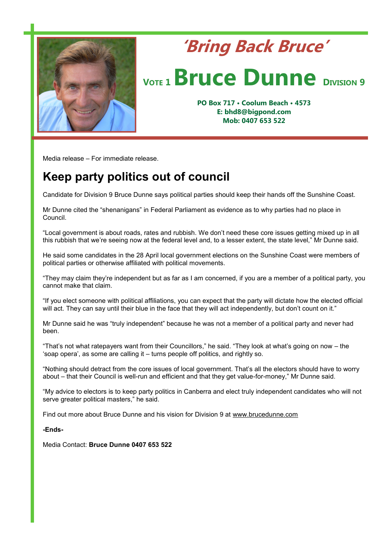

## **'Bring Back Bruce'** *VOTE* **1 <b>Bruce Dunne DIVISION** 9

**PO Box 717 • Coolum Beach • 4573 E: bhd8@bigpond.com Mob: 0407 653 522**

Media release – For immediate release.

## **Keep party politics out of council**

Candidate for Division 9 Bruce Dunne says political parties should keep their hands off the Sunshine Coast.

Mr Dunne cited the "shenanigans" in Federal Parliament as evidence as to why parties had no place in Council.

"Local government is about roads, rates and rubbish. We don't need these core issues getting mixed up in all this rubbish that we're seeing now at the federal level and, to a lesser extent, the state level," Mr Dunne said.

He said some candidates in the 28 April local government elections on the Sunshine Coast were members of political parties or otherwise affiliated with political movements.

"They may claim they're independent but as far as I am concerned, if you are a member of a political party, you cannot make that claim.

"If you elect someone with political affiliations, you can expect that the party will dictate how the elected official will act. They can say until their blue in the face that they will act independently, but don't count on it."

Mr Dunne said he was "truly independent" because he was not a member of a political party and never had been.

"That's not what ratepayers want from their Councillors," he said. "They look at what's going on now – the 'soap opera', as some are calling it – turns people off politics, and rightly so.

"Nothing should detract from the core issues of local government. That's all the electors should have to worry about – that their Council is well-run and efficient and that they get value-for-money," Mr Dunne said.

"My advice to electors is to keep party politics in Canberra and elect truly independent candidates who will not serve greater political masters," he said.

Find out more about Bruce Dunne and his vision for Division 9 at [www.brucedunne.com](http://www.brucedunne.com)

**-Ends-**

Media Contact: **Bruce Dunne 0407 653 522**